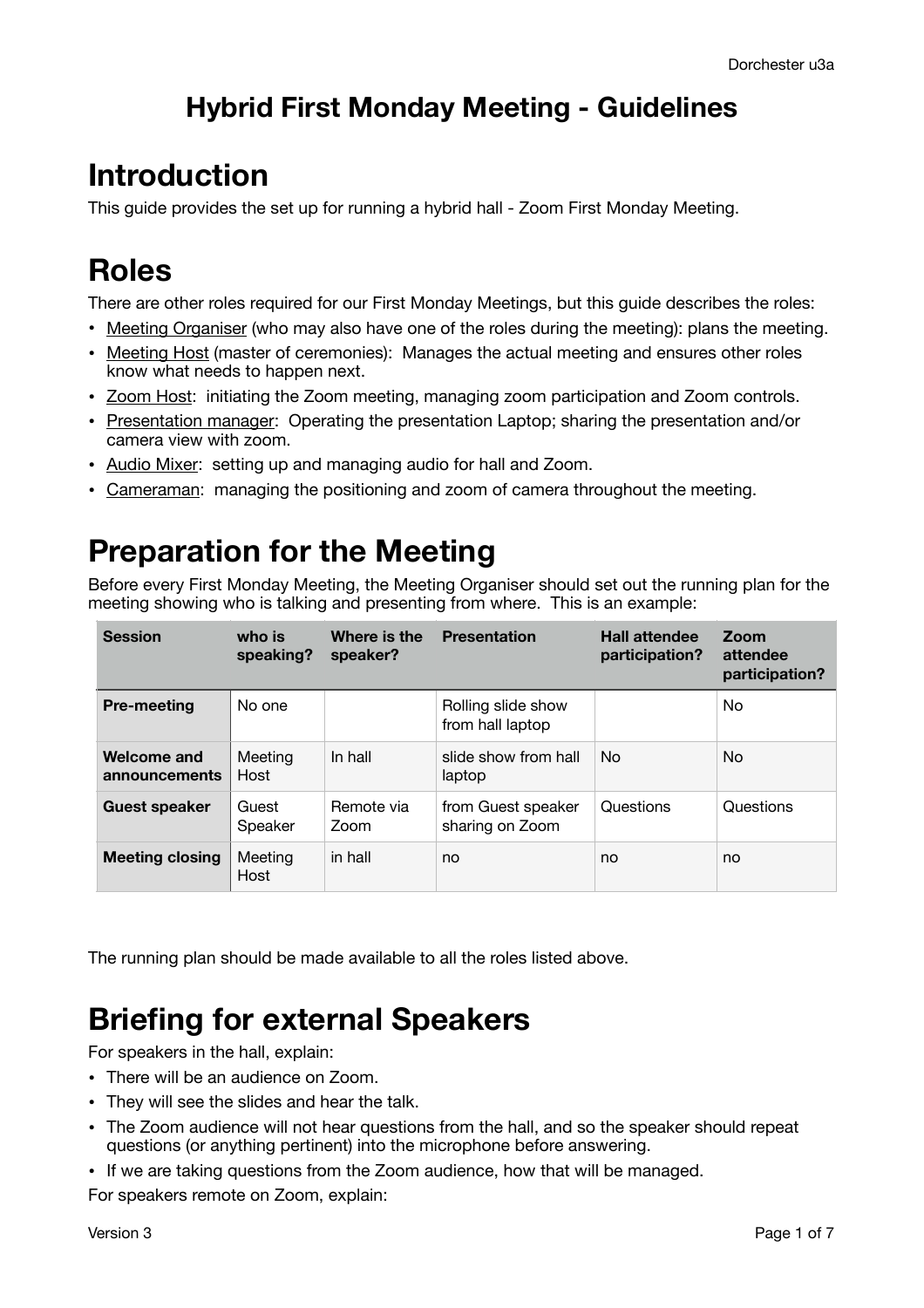## **Hybrid First Monday Meeting - Guidelines**

# **Introduction**

This guide provides the set up for running a hybrid hall - Zoom First Monday Meeting.

# **Roles**

There are other roles required for our First Monday Meetings, but this guide describes the roles:

- Meeting Organiser (who may also have one of the roles during the meeting): plans the meeting.
- Meeting Host (master of ceremonies): Manages the actual meeting and ensures other roles know what needs to happen next.
- Zoom Host: initiating the Zoom meeting, managing zoom participation and Zoom controls.
- Presentation manager: Operating the presentation Laptop; sharing the presentation and/or camera view with zoom.
- Audio Mixer: setting up and managing audio for hall and Zoom.
- Cameraman: managing the positioning and zoom of camera throughout the meeting.

## **Preparation for the Meeting**

Before every First Monday Meeting, the Meeting Organiser should set out the running plan for the meeting showing who is talking and presenting from where. This is an example:

| <b>Session</b>                      | who is<br>speaking? | Where is the<br>speaker? | <b>Presentation</b>                    | <b>Hall attendee</b><br>participation? | Zoom<br>attendee<br>participation? |
|-------------------------------------|---------------------|--------------------------|----------------------------------------|----------------------------------------|------------------------------------|
| <b>Pre-meeting</b>                  | No one              |                          | Rolling slide show<br>from hall laptop |                                        | No                                 |
| <b>Welcome and</b><br>announcements | Meeting<br>Host     | In hall                  | slide show from hall<br>laptop         | No.                                    | No                                 |
| <b>Guest speaker</b>                | Guest<br>Speaker    | Remote via<br>Zoom       | from Guest speaker<br>sharing on Zoom  | Questions                              | Questions                          |
| <b>Meeting closing</b>              | Meeting<br>Host     | in hall                  | no                                     | no                                     | no                                 |

The running plan should be made available to all the roles listed above.

# **Briefing for external Speakers**

For speakers in the hall, explain:

- There will be an audience on Zoom.
- They will see the slides and hear the talk.
- The Zoom audience will not hear questions from the hall, and so the speaker should repeat questions (or anything pertinent) into the microphone before answering.
- If we are taking questions from the Zoom audience, how that will be managed.

For speakers remote on Zoom, explain: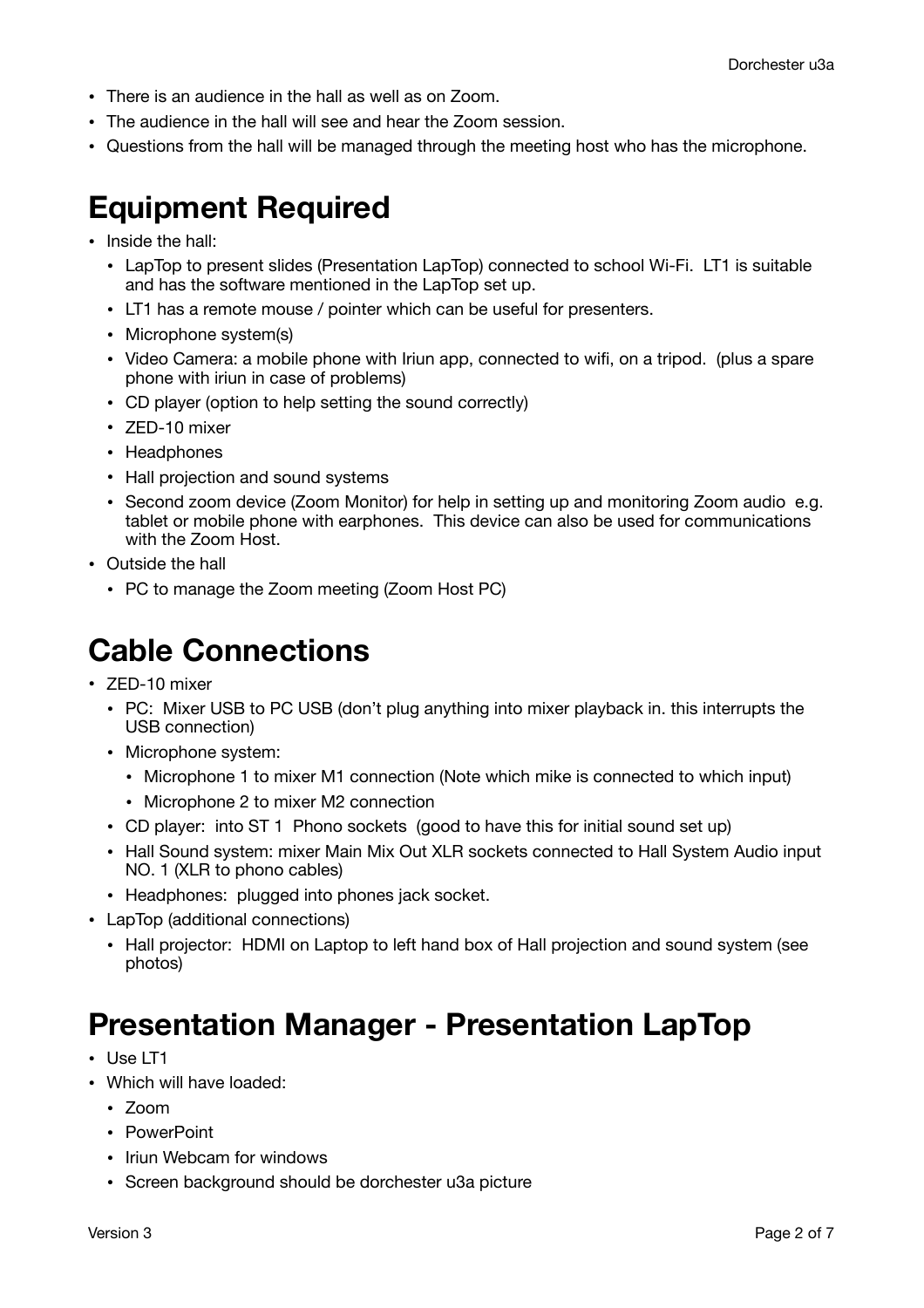- There is an audience in the hall as well as on Zoom.
- The audience in the hall will see and hear the Zoom session.
- Questions from the hall will be managed through the meeting host who has the microphone.

## **Equipment Required**

- Inside the hall:
	- LapTop to present slides (Presentation LapTop) connected to school Wi-Fi. LT1 is suitable and has the software mentioned in the LapTop set up.
	- LT1 has a remote mouse / pointer which can be useful for presenters.
	- Microphone system(s)
	- Video Camera: a mobile phone with Iriun app, connected to wifi, on a tripod. (plus a spare phone with iriun in case of problems)
	- CD player (option to help setting the sound correctly)
	- ZED-10 mixer
	- Headphones
	- Hall projection and sound systems
	- Second zoom device (Zoom Monitor) for help in setting up and monitoring Zoom audio e.g. tablet or mobile phone with earphones. This device can also be used for communications with the Zoom Host.
- Outside the hall
	- PC to manage the Zoom meeting (Zoom Host PC)

# **Cable Connections**

- ZED-10 mixer
	- PC: Mixer USB to PC USB (don't plug anything into mixer playback in. this interrupts the USB connection)
	- Microphone system:
		- Microphone 1 to mixer M1 connection (Note which mike is connected to which input)
		- Microphone 2 to mixer M2 connection
	- CD player: into ST 1 Phono sockets (good to have this for initial sound set up)
	- Hall Sound system: mixer Main Mix Out XLR sockets connected to Hall System Audio input NO. 1 (XLR to phono cables)
	- Headphones: plugged into phones jack socket.
- LapTop (additional connections)
	- Hall projector: HDMI on Laptop to left hand box of Hall projection and sound system (see photos)

## **Presentation Manager - Presentation LapTop**

- Use LT1
- Which will have loaded:
	- Zoom
	- PowerPoint
	- Iriun Webcam for windows
	- Screen background should be dorchester u3a picture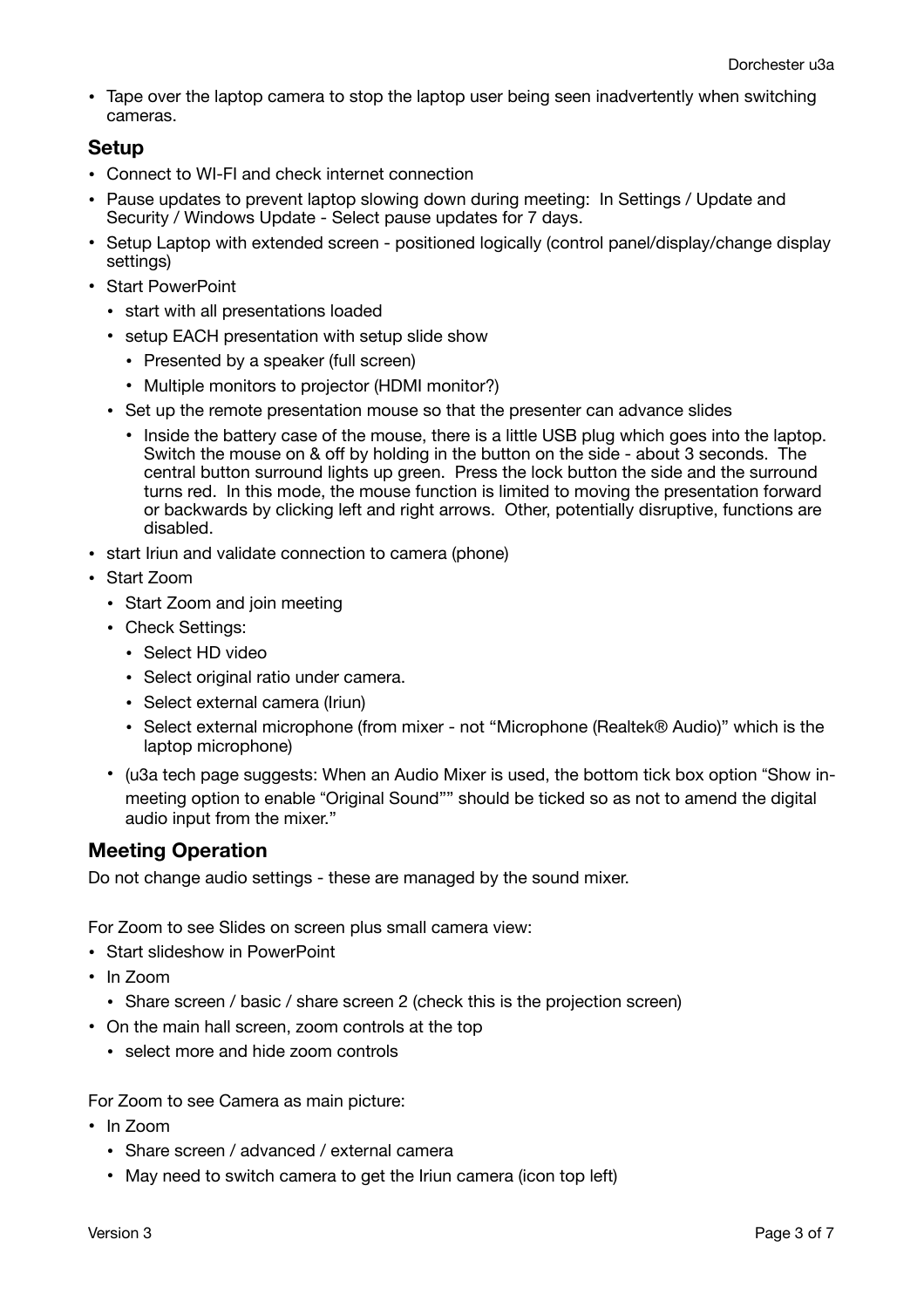• Tape over the laptop camera to stop the laptop user being seen inadvertently when switching cameras.

#### **Setup**

- Connect to WI-FI and check internet connection
- Pause updates to prevent laptop slowing down during meeting: In Settings / Update and Security / Windows Update - Select pause updates for 7 days.
- Setup Laptop with extended screen positioned logically (control panel/display/change display settings)
- Start PowerPoint
	- start with all presentations loaded
	- setup EACH presentation with setup slide show
		- Presented by a speaker (full screen)
		- Multiple monitors to projector (HDMI monitor?)
	- Set up the remote presentation mouse so that the presenter can advance slides
		- Inside the battery case of the mouse, there is a little USB plug which goes into the laptop. Switch the mouse on & off by holding in the button on the side - about 3 seconds. The central button surround lights up green. Press the lock button the side and the surround turns red. In this mode, the mouse function is limited to moving the presentation forward or backwards by clicking left and right arrows. Other, potentially disruptive, functions are disabled.
- start Iriun and validate connection to camera (phone)
- Start Zoom
	- Start Zoom and join meeting
	- Check Settings:
		- Select HD video
		- Select original ratio under camera.
		- Select external camera (Iriun)
		- Select external microphone (from mixer not "Microphone (Realtek® Audio)" which is the laptop microphone)
	- (u3a tech page suggests: When an Audio Mixer is used, the bottom tick box option "Show inmeeting option to enable "Original Sound"" should be ticked so as not to amend the digital audio input from the mixer."

### **Meeting Operation**

Do not change audio settings - these are managed by the sound mixer.

For Zoom to see Slides on screen plus small camera view:

- Start slideshow in PowerPoint
- In Zoom
	- Share screen / basic / share screen 2 (check this is the projection screen)
- On the main hall screen, zoom controls at the top
	- select more and hide zoom controls

For Zoom to see Camera as main picture:

- In Zoom
	- Share screen / advanced / external camera
	- May need to switch camera to get the Iriun camera (icon top left)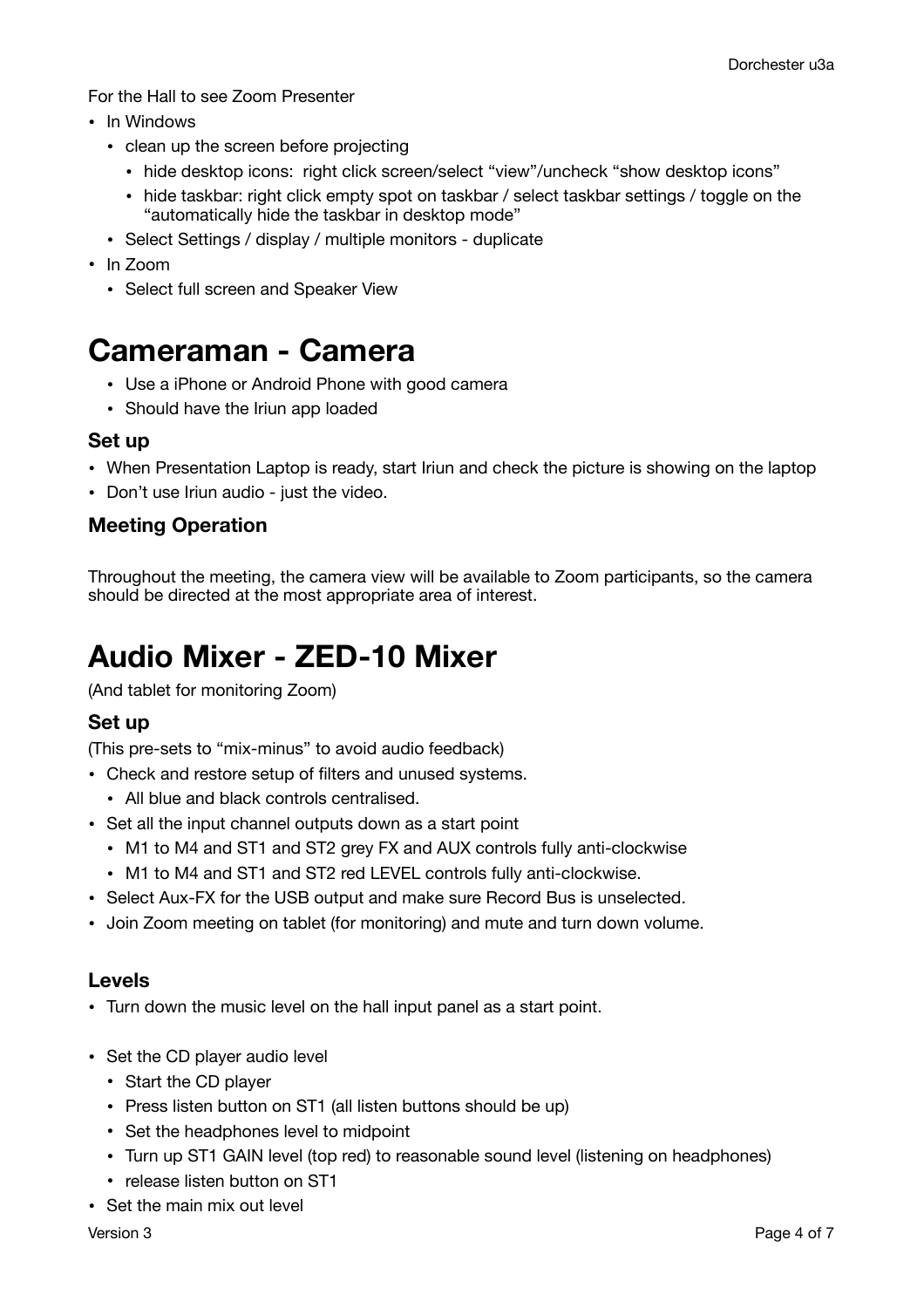For the Hall to see Zoom Presenter

- In Windows
	- clean up the screen before projecting
		- hide desktop icons: right click screen/select "view"/uncheck "show desktop icons"
		- hide taskbar: right click empty spot on taskbar / select taskbar settings / toggle on the "automatically hide the taskbar in desktop mode"
	- Select Settings / display / multiple monitors duplicate
- In Zoom
	- Select full screen and Speaker View

## **Cameraman - Camera**

- Use a iPhone or Android Phone with good camera
- Should have the Iriun app loaded

#### **Set up**

- When Presentation Laptop is ready, start Iriun and check the picture is showing on the laptop
- Don't use Iriun audio just the video.

### **Meeting Operation**

Throughout the meeting, the camera view will be available to Zoom participants, so the camera should be directed at the most appropriate area of interest.

# **Audio Mixer - ZED-10 Mixer**

(And tablet for monitoring Zoom)

### **Set up**

(This pre-sets to "mix-minus" to avoid audio feedback)

- Check and restore setup of filters and unused systems.
	- All blue and black controls centralised.
- Set all the input channel outputs down as a start point
	- M1 to M4 and ST1 and ST2 grey FX and AUX controls fully anti-clockwise
	- M1 to M4 and ST1 and ST2 red LEVEL controls fully anti-clockwise.
- Select Aux-FX for the USB output and make sure Record Bus is unselected.
- Join Zoom meeting on tablet (for monitoring) and mute and turn down volume.

#### **Levels**

- Turn down the music level on the hall input panel as a start point.
- Set the CD player audio level
	- Start the CD player
	- Press listen button on ST1 (all listen buttons should be up)
	- Set the headphones level to midpoint
	- Turn up ST1 GAIN level (top red) to reasonable sound level (listening on headphones)
	- release listen button on ST1
- Set the main mix out level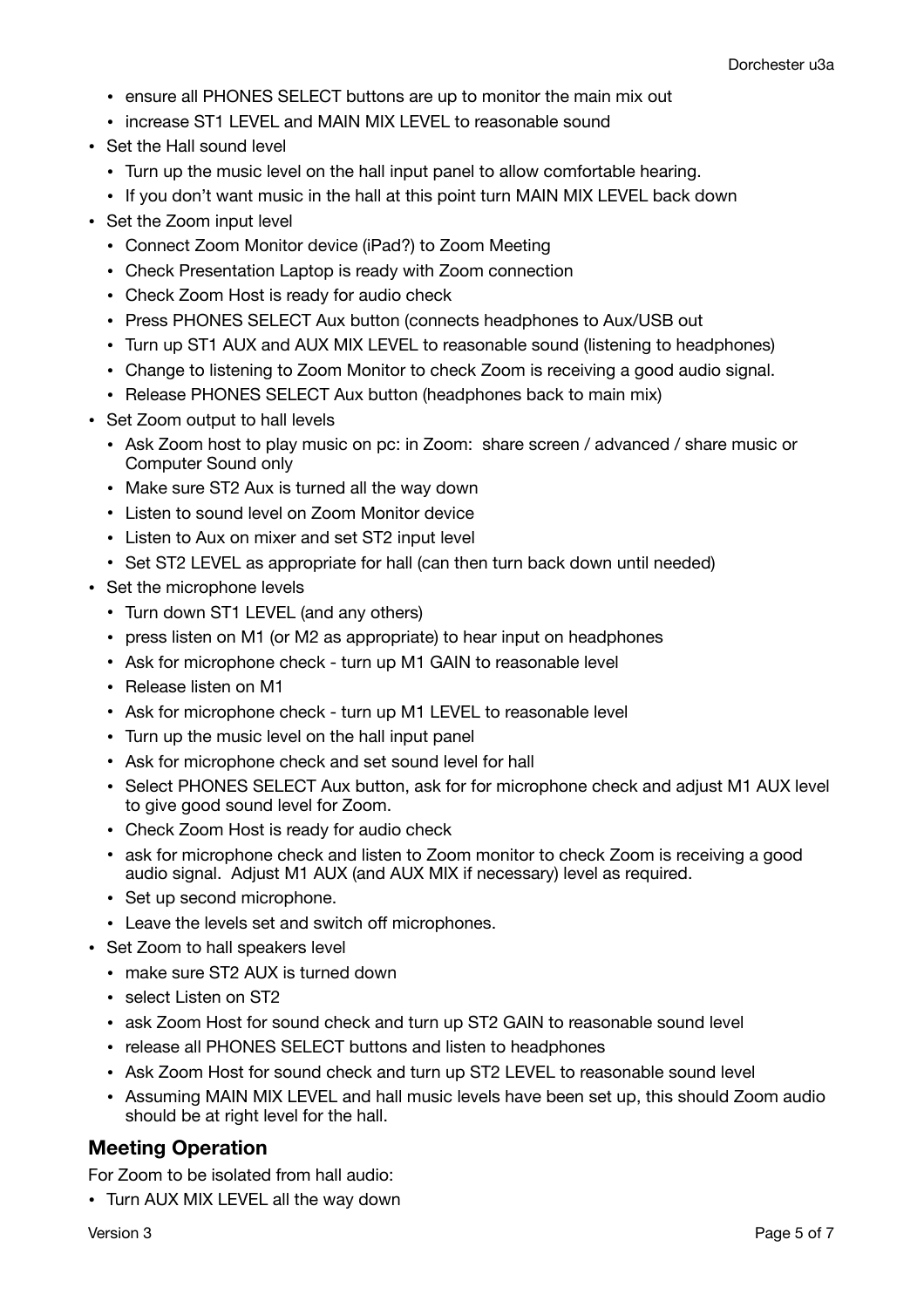- ensure all PHONES SELECT buttons are up to monitor the main mix out
- increase ST1 LEVEL and MAIN MIX LEVEL to reasonable sound
- Set the Hall sound level
	- Turn up the music level on the hall input panel to allow comfortable hearing.
	- If you don't want music in the hall at this point turn MAIN MIX LEVEL back down
- Set the Zoom input level
	- Connect Zoom Monitor device (iPad?) to Zoom Meeting
	- Check Presentation Laptop is ready with Zoom connection
	- Check Zoom Host is ready for audio check
	- Press PHONES SELECT Aux button (connects headphones to Aux/USB out
	- Turn up ST1 AUX and AUX MIX LEVEL to reasonable sound (listening to headphones)
	- Change to listening to Zoom Monitor to check Zoom is receiving a good audio signal.
	- Release PHONES SELECT Aux button (headphones back to main mix)
- Set Zoom output to hall levels
	- Ask Zoom host to play music on pc: in Zoom: share screen / advanced / share music or Computer Sound only
	- Make sure ST2 Aux is turned all the way down
	- Listen to sound level on Zoom Monitor device
	- Listen to Aux on mixer and set ST2 input level
	- Set ST2 LEVEL as appropriate for hall (can then turn back down until needed)
- Set the microphone levels
	- Turn down ST1 LEVEL (and any others)
	- press listen on M1 (or M2 as appropriate) to hear input on headphones
	- Ask for microphone check turn up M1 GAIN to reasonable level
	- Release listen on M1
	- Ask for microphone check turn up M1 LEVEL to reasonable level
	- Turn up the music level on the hall input panel
	- Ask for microphone check and set sound level for hall
	- Select PHONES SELECT Aux button, ask for for microphone check and adjust M1 AUX level to give good sound level for Zoom.
	- Check Zoom Host is ready for audio check
	- ask for microphone check and listen to Zoom monitor to check Zoom is receiving a good audio signal. Adjust M1 AUX (and AUX MIX if necessary) level as required.
	- Set up second microphone.
	- Leave the levels set and switch off microphones.
- Set Zoom to hall speakers level
	- make sure ST2 AUX is turned down
	- select Listen on ST2
	- ask Zoom Host for sound check and turn up ST2 GAIN to reasonable sound level
	- release all PHONES SELECT buttons and listen to headphones
	- Ask Zoom Host for sound check and turn up ST2 LEVEL to reasonable sound level
	- Assuming MAIN MIX LEVEL and hall music levels have been set up, this should Zoom audio should be at right level for the hall.

### **Meeting Operation**

For Zoom to be isolated from hall audio:

• Turn AUX MIX LEVEL all the way down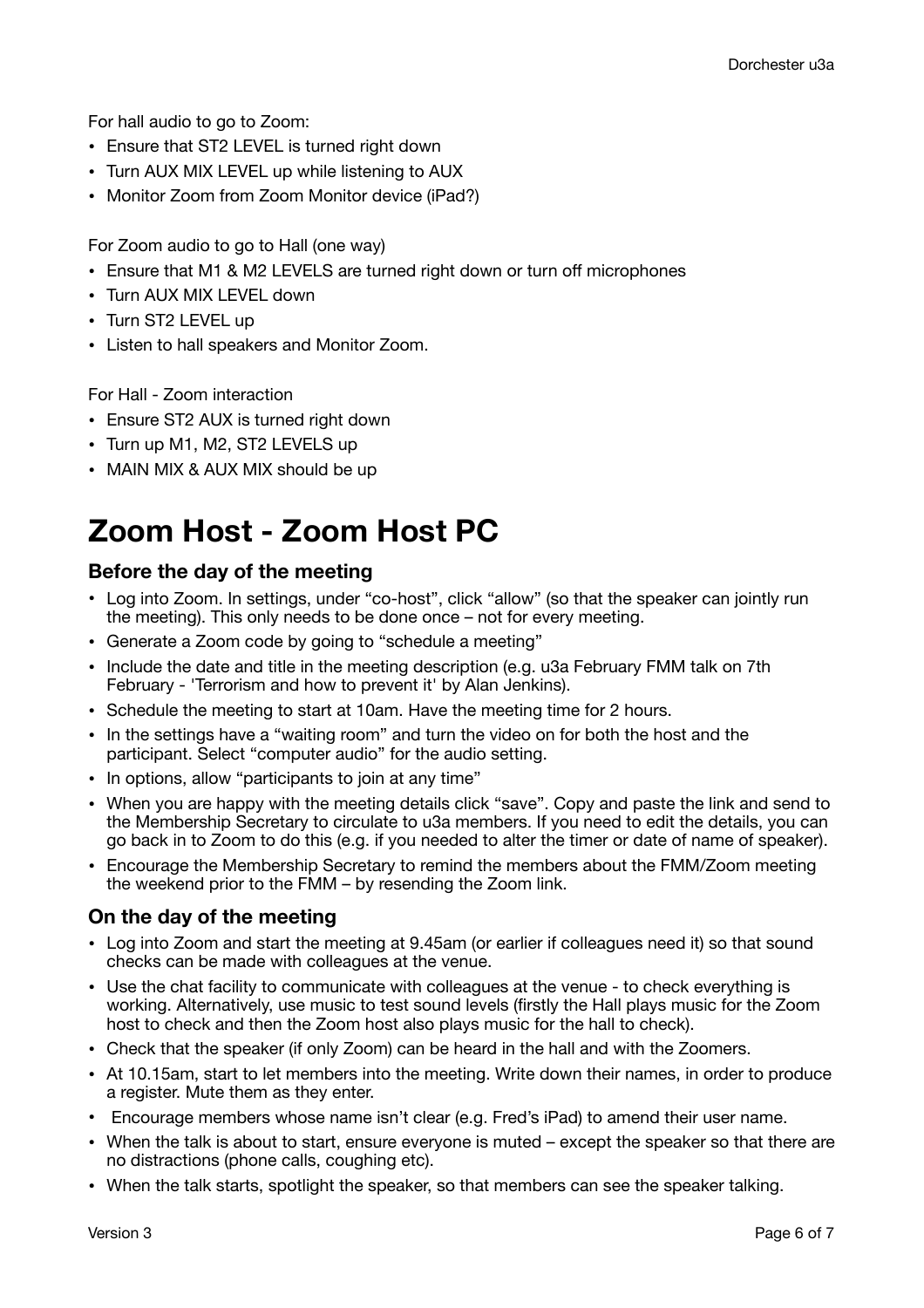For hall audio to go to Zoom:

- Ensure that ST2 LEVEL is turned right down
- Turn AUX MIX LEVEL up while listening to AUX
- Monitor Zoom from Zoom Monitor device (iPad?)

For Zoom audio to go to Hall (one way)

- Ensure that M1 & M2 LEVELS are turned right down or turn off microphones
- Turn AUX MIX LEVEL down
- Turn ST2 LEVEL up
- Listen to hall speakers and Monitor Zoom.

For Hall - Zoom interaction

- Ensure ST2 AUX is turned right down
- Turn up M1, M2, ST2 LEVELS up
- MAIN MIX & AUX MIX should be up

# **Zoom Host - Zoom Host PC**

#### **Before the day of the meeting**

- Log into Zoom. In settings, under "co-host", click "allow" (so that the speaker can jointly run the meeting). This only needs to be done once – not for every meeting.
- Generate a Zoom code by going to "schedule a meeting"
- Include the date and title in the meeting description (e.g. u3a February FMM talk on 7th February - 'Terrorism and how to prevent it' by Alan Jenkins).
- Schedule the meeting to start at 10am. Have the meeting time for 2 hours.
- In the settings have a "waiting room" and turn the video on for both the host and the participant. Select "computer audio" for the audio setting.
- In options, allow "participants to join at any time"
- When you are happy with the meeting details click "save". Copy and paste the link and send to the Membership Secretary to circulate to u3a members. If you need to edit the details, you can go back in to Zoom to do this (e.g. if you needed to alter the timer or date of name of speaker).
- Encourage the Membership Secretary to remind the members about the FMM/Zoom meeting the weekend prior to the FMM – by resending the Zoom link.

### **On the day of the meeting**

- Log into Zoom and start the meeting at 9.45am (or earlier if colleagues need it) so that sound checks can be made with colleagues at the venue.
- Use the chat facility to communicate with colleagues at the venue to check everything is working. Alternatively, use music to test sound levels (firstly the Hall plays music for the Zoom host to check and then the Zoom host also plays music for the hall to check).
- Check that the speaker (if only Zoom) can be heard in the hall and with the Zoomers.
- At 10.15am, start to let members into the meeting. Write down their names, in order to produce a register. Mute them as they enter.
- Encourage members whose name isn't clear (e.g. Fred's iPad) to amend their user name.
- When the talk is about to start, ensure everyone is muted except the speaker so that there are no distractions (phone calls, coughing etc).
- When the talk starts, spotlight the speaker, so that members can see the speaker talking.